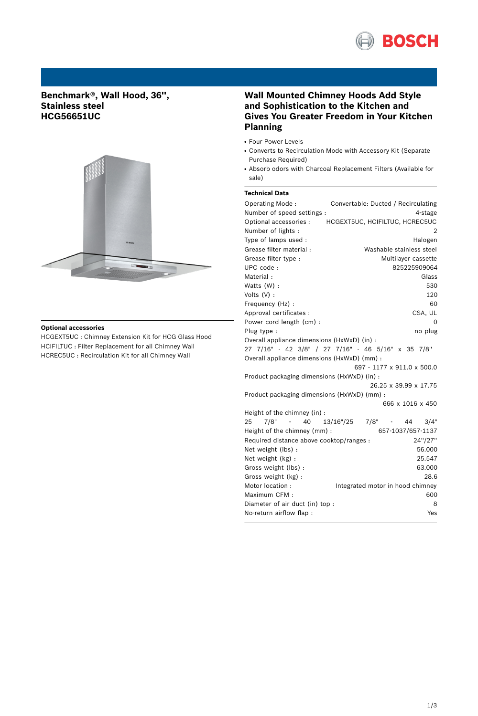

# **Benchmark®, Wall Hood, 36'', Stainless steel HCG56651UC**



### **Optional accessories**

HCGEXT5UC : Chimney Extension Kit for HCG Glass Hood HCIFILTUC : Filter Replacement for all Chimney Wall HCREC5UC : Recirculation Kit for all Chimney Wall

## **Wall Mounted Chimney Hoods Add Style and Sophistication to the Kitchen and Gives You Greater Freedom in Your Kitchen Planning**

- Four Power Levels
- Converts to Recirculation Mode with Accessory Kit (Separate Purchase Required)
- Absorb odors with Charcoal Replacement Filters (Available for sale)

### **Technical Data**

| Operating Mode:                                     | Convertable: Ducted / Recirculating                |
|-----------------------------------------------------|----------------------------------------------------|
| Number of speed settings :                          | 4-stage                                            |
| Optional accessories :                              | HCGEXT5UC, HCIFILTUC, HCREC5UC                     |
| Number of lights:                                   | 2                                                  |
| Type of lamps used :                                | Halogen                                            |
| Grease filter material:                             | Washable stainless steel                           |
| Grease filter type :                                | Multilayer cassette                                |
| UPC code:                                           | 825225909064                                       |
| Material:                                           | Glass                                              |
| Watts (W) :                                         | 530                                                |
| Volts $(V)$ :                                       | 120                                                |
| Frequency (Hz) :                                    | 60                                                 |
| Approval certificates :                             | CSA, UL                                            |
| Power cord length (cm) :                            | 0                                                  |
| Plug type :                                         | no plug                                            |
| Overall appliance dimensions (HxWxD) (in) :         |                                                    |
|                                                     | 27 7/16" - 42 3/8" / 27 7/16" - 46 5/16" x 35 7/8" |
| Overall appliance dimensions (HxWxD) (mm) :         |                                                    |
|                                                     | 697 - 1177 x 911.0 x 500.0                         |
| Product packaging dimensions (HxWxD) (in) :         |                                                    |
|                                                     | 26.25 x 39.99 x 17.75                              |
| Product packaging dimensions (HxWxD) (mm) :         |                                                    |
|                                                     | 666 x 1016 x 450                                   |
| Height of the chimney (in) :                        |                                                    |
| 7/8"<br>25<br>40                                    | 13/16"/25<br>7/8"<br>44<br>3/4"                    |
| 657-1037/657-1137<br>Height of the chimney (mm):    |                                                    |
| 24"/27"<br>Required distance above cooktop/ranges : |                                                    |
| Net weight (lbs) :                                  | 56.000                                             |
| Net weight (kg) :                                   | 25.547                                             |
| Gross weight (lbs) :                                | 63.000                                             |
| Gross weight (kg):                                  | 28.6                                               |
| Motor location :                                    | Integrated motor in hood chimney                   |
| Maximum CFM:                                        | 600                                                |
| Diameter of air duct (in) top :                     | 8                                                  |
| No-return airflow flap :                            | Yes                                                |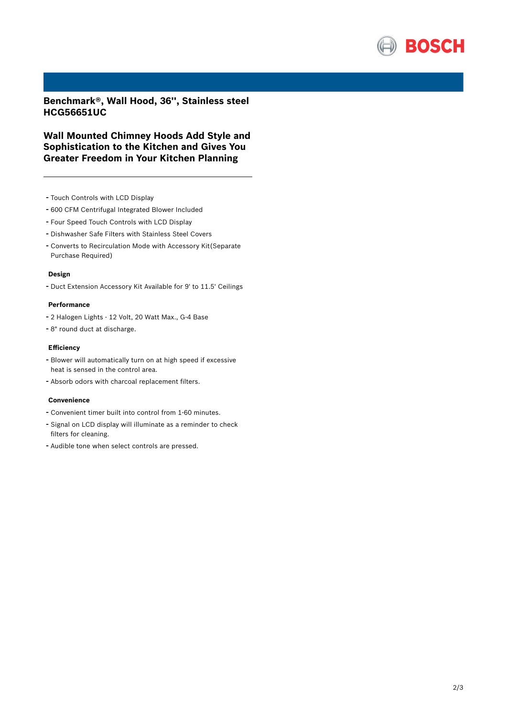

**Benchmark®, Wall Hood, 36'', Stainless steel HCG56651UC**

**Wall Mounted Chimney Hoods Add Style and Sophistication to the Kitchen and Gives You Greater Freedom in Your Kitchen Planning**

- Touch Controls with LCD Display
- <sup>600</sup> CFM Centrifugal Integrated Blower Included
- Four Speed Touch Controls with LCD Display
- Dishwasher Safe Filters with Stainless Steel Covers
- Converts to Recirculation Mode with Accessory Kit(Separate Purchase Required)

### **Design**

- Duct Extension Accessory Kit Available for 9' to 11.5' Ceilings

### **Performance**

- <sup>2</sup> Halogen Lights <sup>12</sup> Volt, <sup>20</sup> Watt Max., G-4 Base
- 8" round duct at discharge.

#### **Efficiency**

- Blower will automatically turn on at high speed if excessive heat is sensed in the control area.
- Absorb odors with charcoal replacement filters.

#### **Convenience**

- Convenient timer built into control from 1-60 minutes.
- Signal on LCD display will illuminate as <sup>a</sup> reminder to check filters for cleaning.
- Audible tone when select controls are pressed.